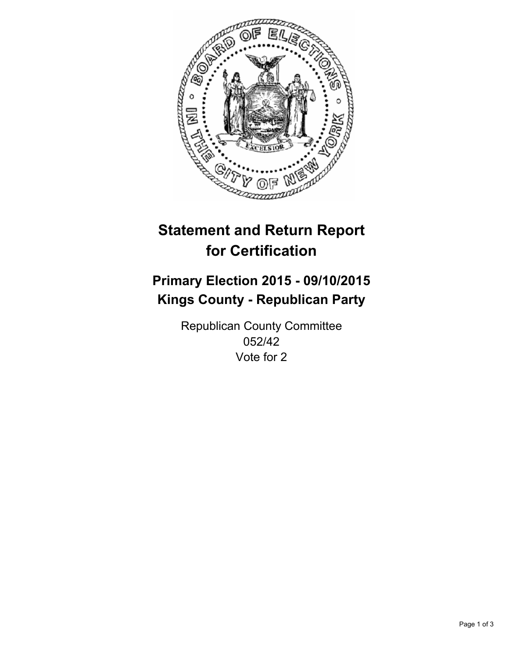

# **Statement and Return Report for Certification**

# **Primary Election 2015 - 09/10/2015 Kings County - Republican Party**

Republican County Committee 052/42 Vote for 2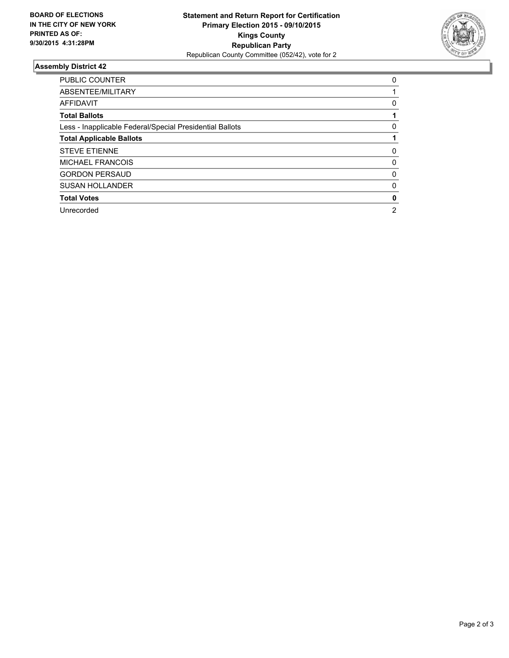

## **Assembly District 42**

| <b>PUBLIC COUNTER</b>                                    | 0              |
|----------------------------------------------------------|----------------|
| ABSENTEE/MILITARY                                        |                |
| <b>AFFIDAVIT</b>                                         | 0              |
| <b>Total Ballots</b>                                     |                |
| Less - Inapplicable Federal/Special Presidential Ballots | 0              |
| <b>Total Applicable Ballots</b>                          |                |
| <b>STEVE ETIENNE</b>                                     | 0              |
| <b>MICHAEL FRANCOIS</b>                                  | 0              |
| <b>GORDON PERSAUD</b>                                    | 0              |
| <b>SUSAN HOLLANDER</b>                                   | 0              |
| <b>Total Votes</b>                                       | 0              |
| Unrecorded                                               | $\overline{2}$ |